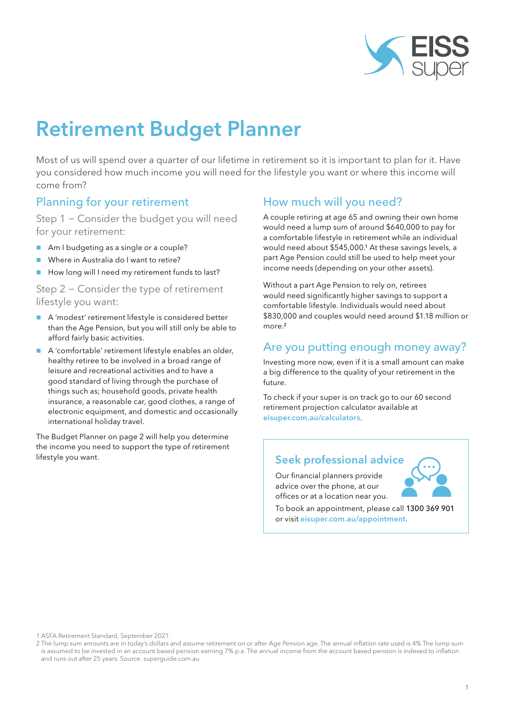

# Retirement Budget Planner

Most of us will spend over a quarter of our lifetime in retirement so it is important to plan for it. Have you considered how much income you will need for the lifestyle you want or where this income will come from?

#### Planning for your retirement

Step 1 − Consider the budget you will need for your retirement:

- Am I budgeting as a single or a couple?
- Where in Australia do I want to retire?
- How long will I need my retirement funds to last?

#### Step 2 − Consider the type of retirement lifestyle you want:

- A 'modest' retirement lifestyle is considered better than the Age Pension, but you will still only be able to afford fairly basic activities.
- A 'comfortable' retirement lifestyle enables an older, healthy retiree to be involved in a broad range of leisure and recreational activities and to have a good standard of living through the purchase of things such as; household goods, private health insurance, a reasonable car, good clothes, a range of electronic equipment, and domestic and occasionally international holiday travel.

The Budget Planner on page 2 will help you determine the income you need to support the type of retirement lifestyle you want.

#### How much will you need?

A couple retiring at age 65 and owning their own home would need a lump sum of around \$640,000 to pay for a comfortable lifestyle in retirement while an individual would need about \$545,000.<sup>1</sup> At these savings levels, a part Age Pension could still be used to help meet your income needs (depending on your other assets).

Without a part Age Pension to rely on, retirees would need significantly higher savings to support a comfortable lifestyle. Individuals would need about \$830,000 and couples would need around \$1.18 million or more.<sup>2</sup>

#### Are you putting enough money away?

Investing more now, even if it is a small amount can make a big difference to the quality of your retirement in the future.

To check if your super is on track go to our 60 second retirement projection calculator available at [eisuper.com.au/calculators](https://www.eisuper.com.au/calculators).

#### Seek professional advice

Our financial planners provide advice over the phone, at our offices or at a location near you.

To book an appointment, please call 1300 369 901 or visit e[isuper.com.au/appointment](https://www.eisuper.com.au/appointment).

1 ASFA Retirement Standard, September 2021.

<sup>2</sup> The lump sum amounts are in today's dollars and assume retirement on or after Age Pension age. The annual inflation rate used is 4% The lump sum is assumed to be invested in an account based pension earning 7% p.a. The annual income from the account based pension is indexed to inflation and runs out after 25 years. Source: [superguide.com.au](https://www.superguide.com.au/boost-your-superannuation/comfortable-retirement-how-much-super-need)